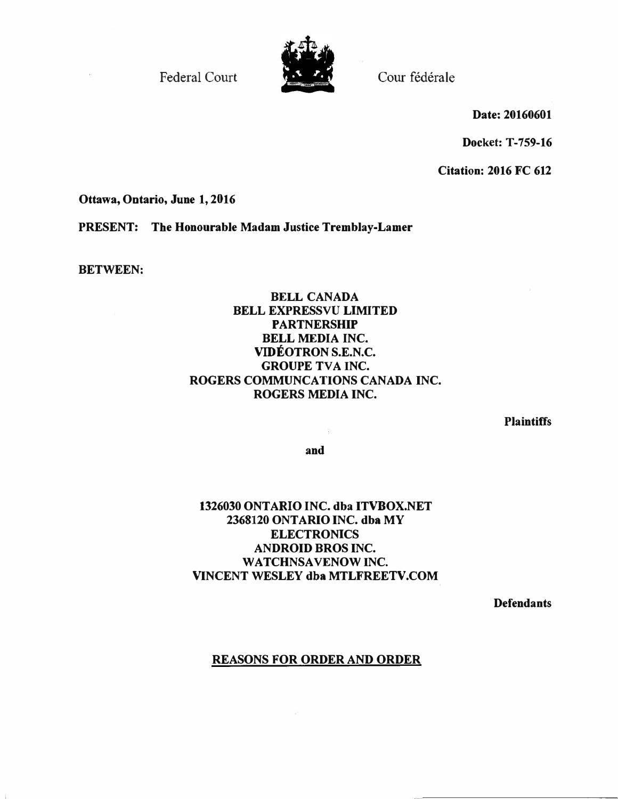Federal Court Court Cour fédérale



Date: 20160601

Docket: T-759-16

Citation: 2016 FC 612

Ottawa, Ontario, June 1, 2016

PRESENT: The Honourable Madam Justice Tremblay-Lamer

BETWEEN:

 $\overline{\Omega}$ 

# BELL CANADA BELL EXPRESSVU LIMITED PARTNERSHIP BELL MEDIA INC. VIDEOTRON S.E.N.C. GROUPE TVA INC. ROGERS COMMUNCATIONS CANADA INC. ROGERS MEDIA INC.

**Plaintiffs** 

and

磐

# 1326030 ONTARIO INC. dba ITVBOX.NET 2368120 ONTARIO INC. dba MY ELECTRONICS ANDROID BROS INC. WATCHNSAVENOW INC. VINCENT WESLEY dba MTLFREETV.COM

**Defendants** 

# REASONS FOR ORDER AND ORDER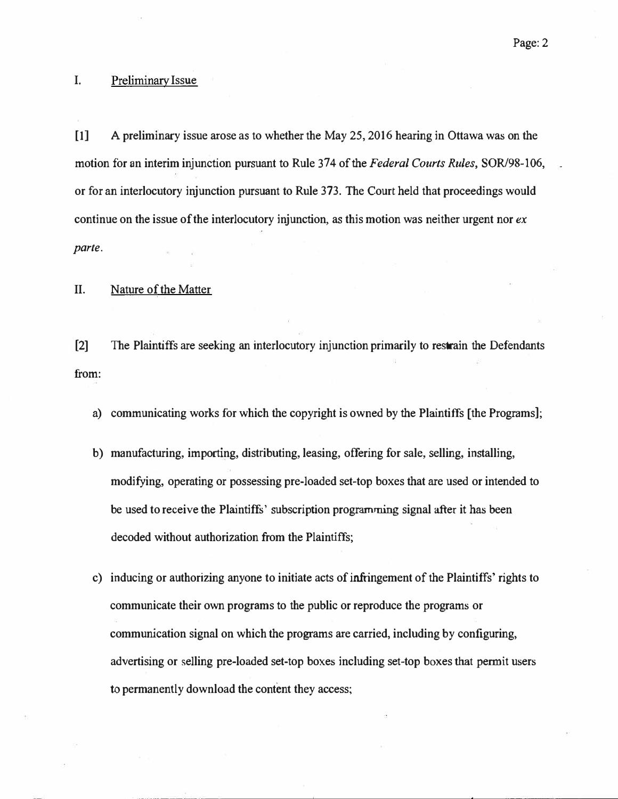## I. Preliminary Issue

[1] A preliminary issue arose as to whether the May 25, 2016 hearing in Ottawa was on the motion for an interim injunction pursuant to Rule 374 of the Federal Courts Rules, SOR/98-106, or for an interlocutory injunction pursuant to Rule 373. The Court held that proceedings would continue on the issue of the interlocutory injunction, as this motion was neither urgent nor  $ex$ parte.

## II. Nature of the Matter

[2] The Plaintiffs are seeking an interlocutory injunction primarily to restrain the Defendants from:

- a) communicating works for which the copyright is owned by the Plaintiffs (the Programs];
- b) manufacturing, importing, distributing, leasing, offering for sale, selling, installing, modifying, operating or possessing pre-loaded set-top boxes that are used or intended to be used to receive the Plaintiffs' subscription programming signal after it has been decoded without authorization from the Plaintiffs;
- c) inducing or authorizing anyone to initiate acts of infringement of the Plaintiffs' rights to communicate their own programs to the public or reproduce the programs or communication signal on which the programs are carried, including by configuring, advertising or selling pre-loaded set-top boxes including set-top boxes that permit users to permanently download the content they access; Plaintiffs are seeking an interlocutory injunction primarily to restrain the Defendants<br>municating works for which the copyright is owned by the Plaintiffs [the Programs];<br>tufacturing, importing, distributing, leasing, off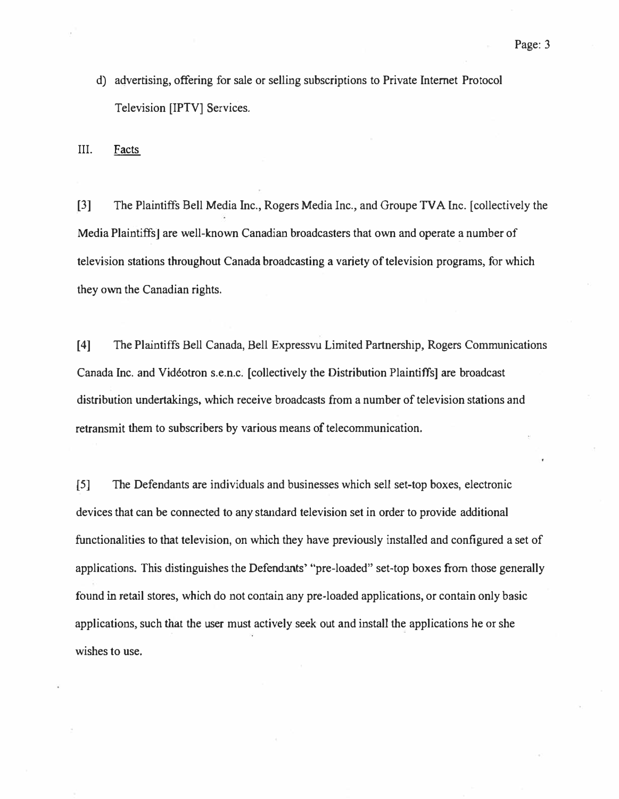d) advertising, offering for sale or selling subscriptions to Private Internet Protocol Television [IPTV] Services.

III. Facts

[3] The Plaintiffs Bell Media Inc., Rogers Media Inc., and Groupe TV A me. [collectively the Media Plaintiffs] are well-known Canadian broadcasters that own and operate a number of television stations throughout Canada broadcasting a variety of television programs, for which they own the Canadian rights.

[4] The Plaintiffs Bell Canada, Bell Expressvu Limited Partnership, Rogers Communications Canada Inc. and Videotron s.e.n.c. [collectively the Distribution Plaintiffs] are broadcast distribution undertakings, which receive broadcasts from a number of television stations and retransmit them to subscribers by various means of telecommunication.

[5] The Defendants are individuals and businesses which sell set-top boxes, electronic devices that can be connected to any standard television set in order to provide additional functionalities to that television, on which they have previously installed and configured a set of applications. This distinguishes the Defendants' "pre-loaded" set-top boxes from those generally found in retail stores, which do not contain any pre-loaded applications, or contain only basic applications, such that the user must actively seek out and install the applications he or she wishes to use.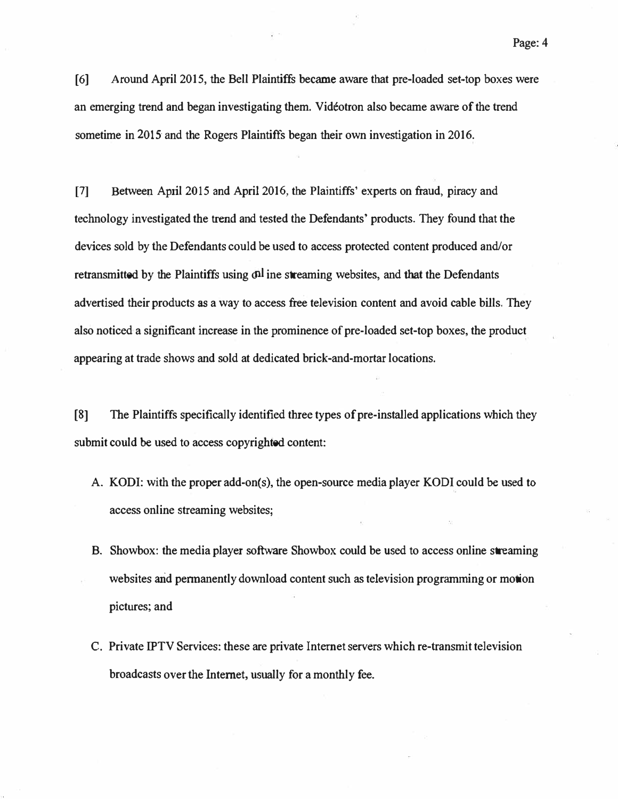[6] Around April 2015, the Bell Plaintiffs became aware that pre-loaded set-top boxes were an emerging trend and began investigating them. Videotron also became aware of the trend sometime in 2015 and the Rogers Plaintiffs began their own investigation in 2016.

[7] Between April 2015 and April 2016, the Plaintiffs' experts on fraud, piracy and technology investigated the trend and tested the Defendants' products. They found that the devices sold by the Defendants could be used to access protected content produced and/or retransmitted by the Plaintiffs using  $\delta n$  ine streaming websites, and that the Defendants advertised their products as a way to access free television content and avoid cable bills. They also noticed a significant increase in the prominence of pre-loaded set-top boxes, the product appearing at trade shows and sold at dedicated brick-and-mortar locations.

[8] The Plaintiffs specifically identified three types of pre-installed applications which they submit could be used to access copyrighted content:

- A. KODI: with the proper add-on(s), the open-source media player KODI could be used to access online streaming websites;
- B. Showbox: the media player software Showbox could be used to access online streaming websites and permanently download content such as television programming or motion pictures; and
- C. Private IPTV Services: these are private Internet servers which re-transmit television broadcasts over the Internet, usually for a monthly fee.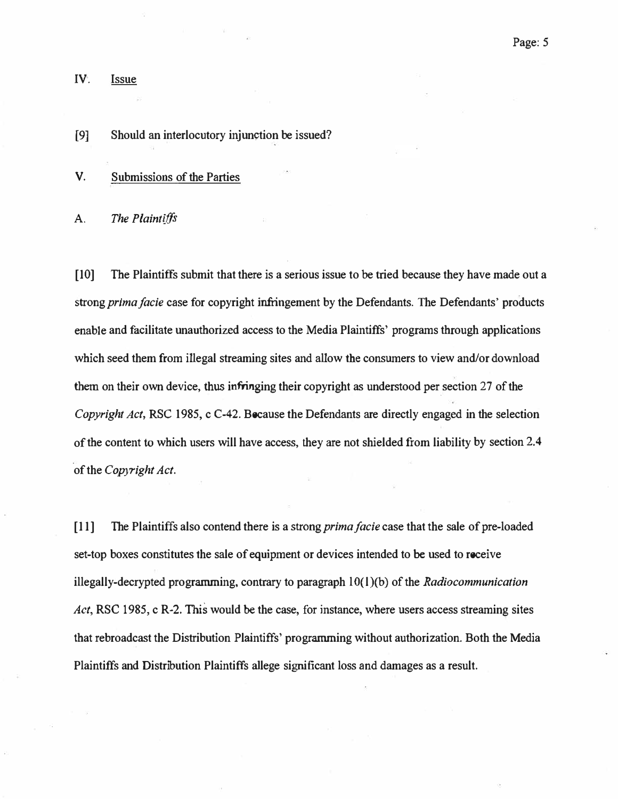IV. Issue

[9] Should an interlocutory injunction be issued?

V. Submissions of the Parties

A. The Plaintiffs

[10] The Plaintiffs submit that there is a serious issue to be tried because they have made out a strong *prima facie* case for copyright infringement by the Defendants. The Defendants' products enable and facilitate unauthorized access to the Media Plaintiffs' programs through applications which seed them from illegal streaming sites and allow the consumers to view and/or download them on their own device, thus infringing their copyright as understood per section 27 of the Copyright Act, RSC 1985, c C-42. Because the Defendants are directly engaged in the selection of the content to which users will have access, they are not shielded from liability by section 2.4 of the Copyright Act.

[11] The Plaintiffs also contend there is a strong *prima facie* case that the sale of pre-loaded set-top boxes constitutes the sale of equipment or devices intended to be used to receive illegally-decrypted programming, contrary to paragraph  $10(1)(b)$  of the Radiocommunication Act, RSC 1985, c R-2. This would be the case, for instance, where users access streaming sites that rebroadcast the Distribution Plaintiffs' programming without authorization. Both the Media Plaintiffs and Distribution Plaintiffs allege significant loss and damages as a result.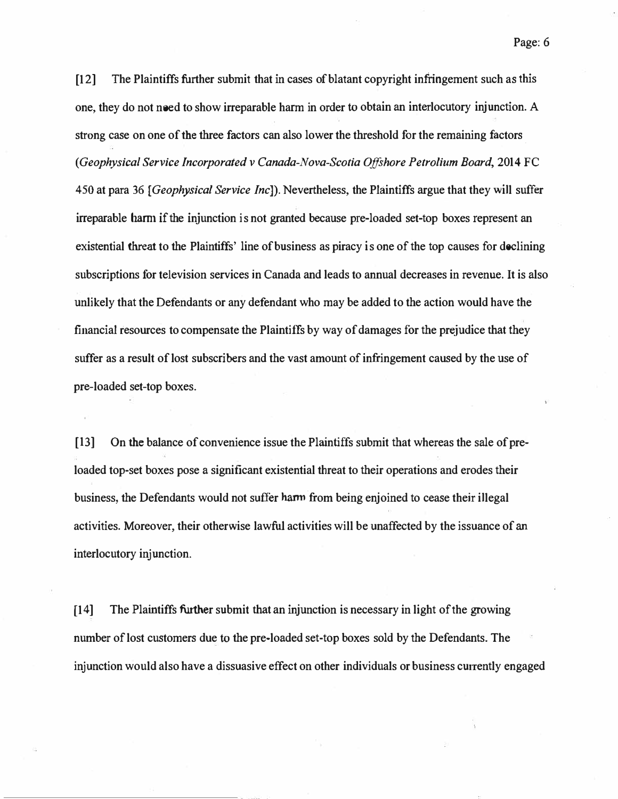[12] The Plaintiffs further submit that in cases of blatant copyright infringement such as this one, they do not need to show irreparable harm in order to obtain an interlocutory injunction. A strong case on one of the three factors can also lower the threshold for the remaining factors. (Geophysical Service Incorporated v Canada-Nova-Scotia Offshore Petrolium Board, 2014 FC 450 at para 36 [Geophysical Service Inc]). Nevertheless, the Plaintiffs argue that they will suffer irreparable harm if the injunction is not granted because pre-loaded set-top boxes represent an existential threat to the Plaintiffs' line of business as piracy is one of the top causes for declining subscriptions for television services in Canada and leads to annual decreases in revenue. It is also unlikely that the Defendants or any defendant who may be added to the action would have the financial resources to compensate the Plaintiffs by way of damages for the prejudice that they suffer as a result of lost subscribers and the vast amount of infringement caused by the use of pre-loaded set-top boxes.

[ 13] On the balance of convenience issue the Plaintiffs submit that whereas the sale of preloaded top-set boxes pose a significant existential threat to their operations and erodes their business, the Defendants would not suffer harm from being enjoined to cease their illegal activities. Moreover, their otherwise lawful activities will be unaffected by the issuance of an interlocutory injunction.

[14] The Plaintiffs further submit that an injunction is necessary in light of the growing number of lost customers due to the pre-loaded set-top boxes sold by the Defendants. The injunction would also have a dissuasive effect on other individuals or business currently engaged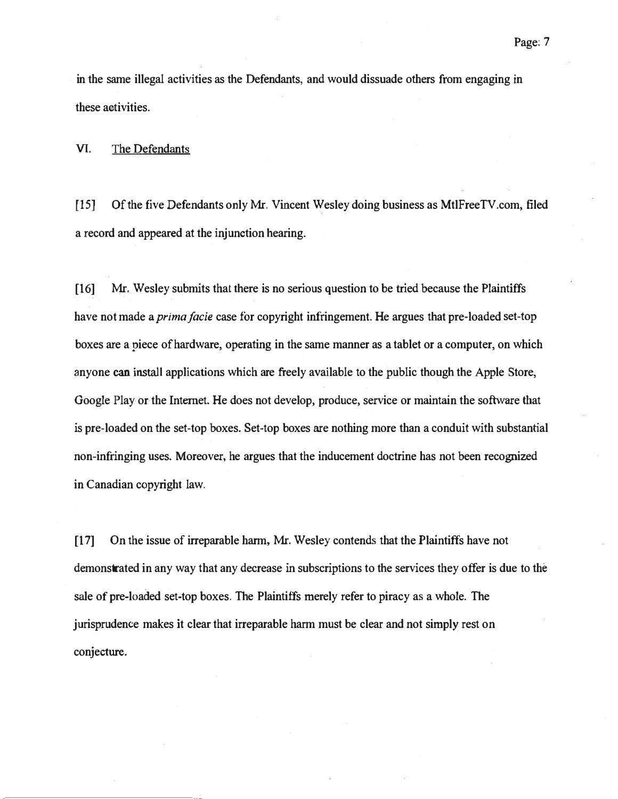. in the same illegal activities as the Defendants, and would dissuade others from engaging in these activities.

VI. The Defendants

[15] Of the five Defendants only Mr. Vincent Wesley doing business as MtlFreeTV.com, filed a record and appeared at the injunction hearing,

[16] Mr. Wesley submits that there is no serious question to be tried because the Plaintiffs have not made a *prima facie* case for copyright infringement. He argues that pre-loaded set-top boxes are a piece of hardware, operating in the same manner as a tablet or a computer, on which anyone can install applications which are freely available to the public though the Apple Store, Google Play or the Internet. He does not develop, produce, service or maintain the software that is pre-loaded on the set-top boxes. Set-top boxes are nothing more than a conduit with substantial non-infringing uses. Moreover, he argues that the inducement doctrine has not been recognized in Canadian copyright law.

[17] On the issue of irreparable harm, Mr. Wesley contends that the Plaintiffs have not demonstrated in any way that any decrease in subscriptions to the services they offer is due to the sale of pre-loaded set-top boxes. The Plaintiffs merely refer to piracy as a whole. The jurisprudence makes it clear that irreparable harm must be clear and not simply rest on conjecture.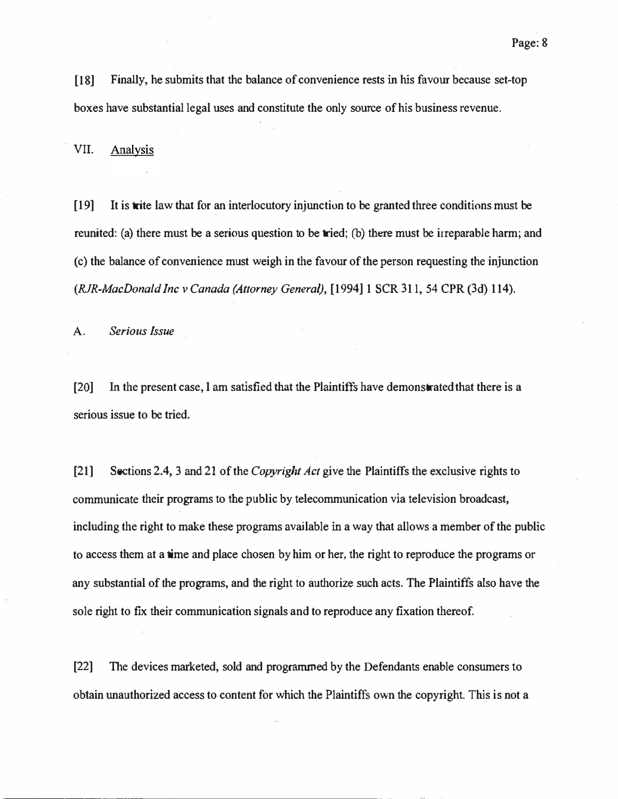[18] Finally, he submits that the balance of convenience rests in his favour because set-top boxes have substantial legal uses and constitute the only source of his business revenue.

VII. Analysis

[19] It is trite law that for an interlocutory injunction to be granted three conditions must be reunited: (a) there must be a serious question to be tried; (b) there must be irreparable harm; and ( c) the balance of convenience must weigh in the favour of the person requesting the injunction (RJR-MacDonald Inc v Canada (Attorney General), [1994] 1 SCR 311, 54 CPR (3d) 114).

A. Serious Issue

[20] In the present case, I am satisfied that the Plaintiffs have demonstrated that there is a serious issue to be tried.

[21] Sections 2.4, 3 and 21 of the *Copyright Act* give the Plaintiffs the exclusive rights to communicate their programs to the public by telecommunication via television broadcast, including the right to make these programs available in a way that allows a member of the public to access them at a time and place chosen by him or her, the right to reproduce the programs or any substantial of the programs, and the right to authorize such acts. The Plaintiffs also have the sole right to fix their communication signals and to reproduce any fixation thereof.

[22] The devices marketed, sold and programmed by the Defendants enable consumers to obtain unauthorized access to content for which the Plaintiffs own the copyright. This is not a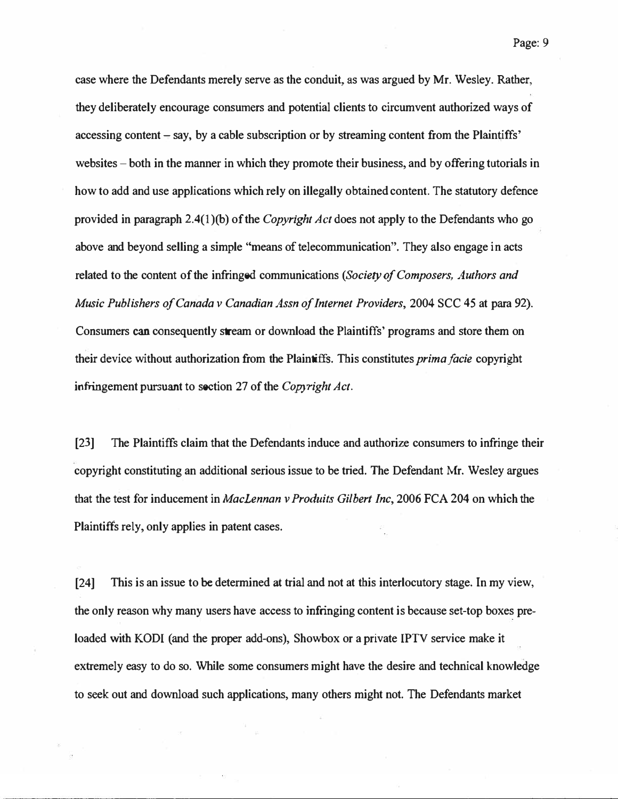case where the Defendants merely serve as the conduit, as was argued by Mr. Wesley. Rather, they deliberately encourage consumers and potential clients to circumvent authorized ways of accessing content – say, by a cable subscription or by streaming content from the Plaintiffs' websites – both in the manner in which they promote their business, and by offering tutorials in how to add and use applications which rely on illegally obtained content. The statutory defence provided in paragraph 2.4(1)(b) of the *Copyright Act* does not apply to the Defendants who go above and beyond selling a simple "means of telecommunication". They also engage in acts related to the content of the infringed communications (Society of Composers, Authors and Music Publishers of Canada v Canadian Assn of Internet Providers, 2004 SCC 45 at para 92). Consumers can consequently stream or download the Plaintiffs' programs and store them on their device without authorization from the Plaintiffs. This constitutes *prima facie* copyright infringement pursuant to soction 27 of the Copyright Act.

[23] The Plaintiffs claim that the Defendants induce and authorize consumers to infringe their copyright constituting an additional serious issue to be tried. The Defendant Mr. Wesley argues that the test for inducement in Maclennan v Produits Gilbert Inc, 2006 FCA 204 on which the Plaintiffs rely, only applies in patent cases.

[24] This is an issue to be determined at trial and not at this interlocutory stage. In my view, the only reason why many users have access to infringing content is because set-top boxes preloaded with KODI (and the proper add-ons), Showbox or a private IPTV service make it extremely easy to do so. While some consumers might have the desire and technical knowledge to seek out and download such applications, many others might not. The Defendants market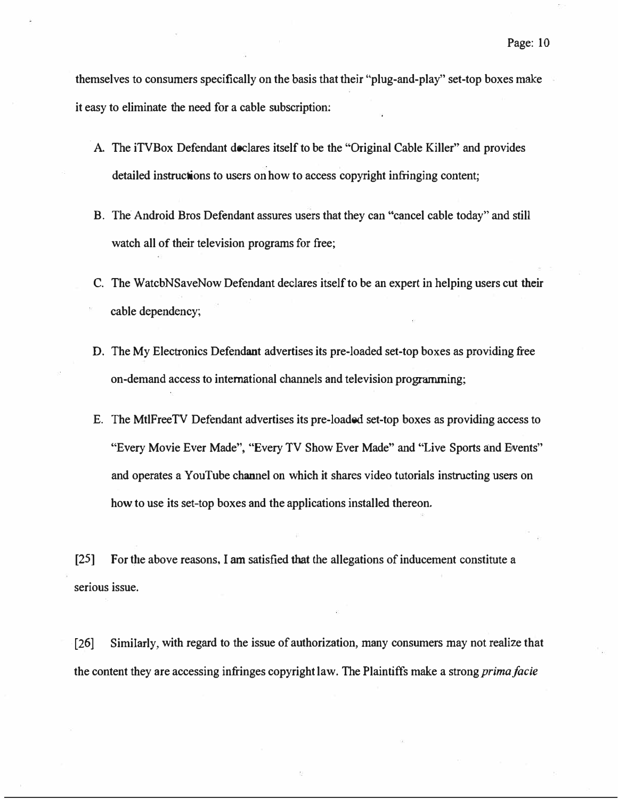themselves to consumers specifically on the basis that their "plug-and-play" set-top boxes make it easy to eliminate the need for a cable subscription:

- A. The iTVBox Defendant doclares itself to be the "Original Cable Killer" and provides detailed instructions to users on how to access copyright infringing content;
- B. The Android Bros Defendant assures users that they can "cancel cable today" and still watch all of their television programs for free;
- C. The WatcbNSaveNow Defendant declares itself to be an expert in helping users cut their cable dependency;
- D. The My Electronics Defendant advertises its pre-loaded set-top boxes as providing free on-demand access to international channels and television programming;
- E. The MtlFreeTV Defendant advertises its pre-loaded set-top boxes as providing access to "Every Movie Ever Made", "Every TV Show Ever Made" and "Live Sports and Events" and operates a YouTube channel on which it shares video tutorials instructing users on how to use its set-top boxes and the applications installed thereon.

[25] For the above reasons, I am satisfied that the allegations of inducement constitute a serious issue.

[26] Similarly, with regard to the issue of authorization, many consumers may not realize that the content they are accessing infringes copyright law. The Plaintiffs make a strong *prima facie*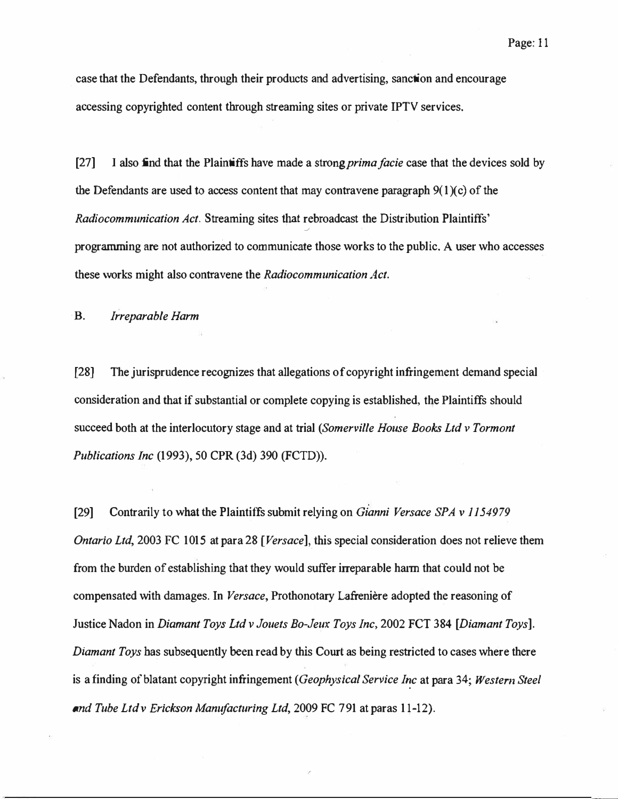. case that the Defendants, through their products and advertising, sanction and encourage accessing copyrighted content through streaming sites or private IPTV services.

[27] I also find that the Plaint if the made a strong *prima facie* case that the devices sold by the Defendants are used to access content that may contravene paragraph  $9(1)(c)$  of the Radiocommunication Act. Streaming sites that rebroadcast the Distribution Plaintiffs' J programming are not authorized to communicate those works to the public. A user who accesses these works might also contravene the Radiocommunication Act.

**B.** Irreparable Harm

[28] The jurisprudence recognizes that allegations of copyright infringement demand special consideration and that if substantial or complete copying is established, the Plaintiffs should succeed both at the interlocutory stage and at trial (Somerville House Books Ltd v Tormont Publications Inc (1993), 50 CPR (3d) 390 (FCTD)).

[29] Contrarily to what the Plaintiffs submit relying on *Gianni Versace SPA v 1154979* Ontario Ltd, 2003 FC 1015 at para 28 [Versace], this special consideration does not relieve them from the burden of establishing that they would suffer irreparable haim that could not be compensated with damages. In Versace, Prothonotary Lafreniere adopted the reasoning of Justice Nadon in Diamant Toys Ltd v Jouets Bo-Jeux Toys Inc, 2002 FCT 384 [Diamant Toys]. Diamant Toys has subsequently been read by this Court as being restricted to cases where there is a finding of blatant copyright infringement (Geophysical Service Inc at para 34; Western Steel and Tube Ltd v Erickson Manufacturing Ltd, 2009 FC 791 at paras 1 l-12).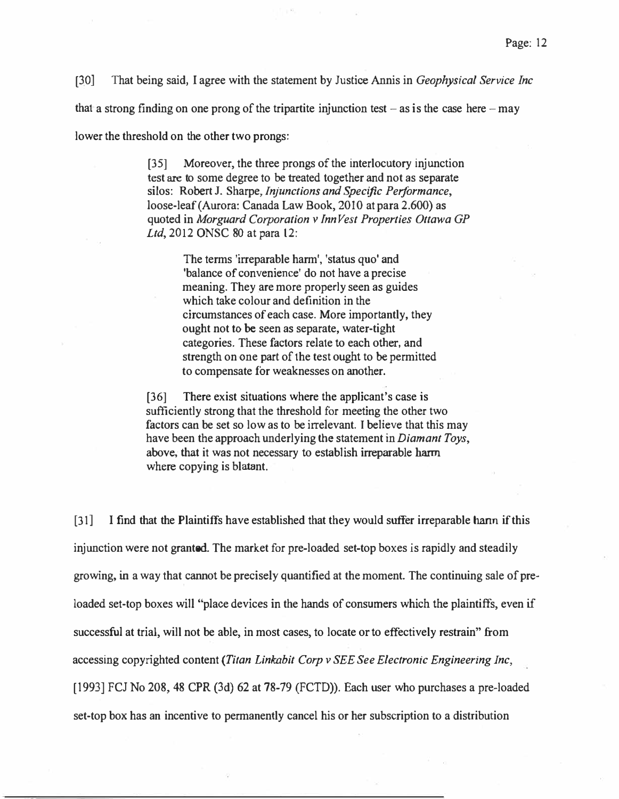[30] That being said, I agree with the statement by Justice Annis in *Geophysical Service Inc* 

that a strong finding on one prong of the tripartite injunction test  $-$  as is the case here  $-$  may

lower the threshold on the other two prongs:

[35] Moreover, the three prongs of the interlocutory injunction test are to some degree to be treated together and not as separate silos: Robert J. Sharpe, *Injunctions and Specific Performance*, loose-leaf (Aurora: Canada Law Book, 2010 at para 2.600) as quoted in Morguard Corporation v Inn Vest Properties Ottawa GP Ltd, 2012 ONSC 80 at para 12:

> The terms 'irreparable harm', 'status quo' and 'balance of convenience' do not have a precise meaning. They are more properly seen as guides which take colour and definition in the circumstances of each case. More importantly, they ought not to be seen as separate, water-tight categories. These factors relate to each other, and strength on one part of the test ought to be permitted to compensate for weaknesses on another.

[36] There exist situations where the applicant's case is sufficiently strong that the threshold for meeting the other two factors can be set so low as to be irrelevant. I believe that this may have been the approach underlying the statement in *Diamant Toys*, above; that it was not necessary to establish irreparable harm where copying is blatant.

[31] I find that the Plaintiffs have established that they would suffer irreparable harm if this injunction were not granted. The market for pre-loaded set-top boxes is rapidly and steadily growing, in a way that cannot be precisely quantified at the moment. The continuing sale of preloaded set-top boxes will "place devices in the hands of consumers which the plaintiffs, even if successful at trial, will not be able, in most cases, to locate or to effectively restrain" from accessing copyrighted content (Titan Linkabit Corp v SEE See Electronic Engineering Inc, [1993] FCJ No 208, 48 CPR (3d) 62 at 78-79 (FCTD)). Each user who purchases a pre-loaded set-top box has an incentive to permanently cancel his or her subscription to a distribution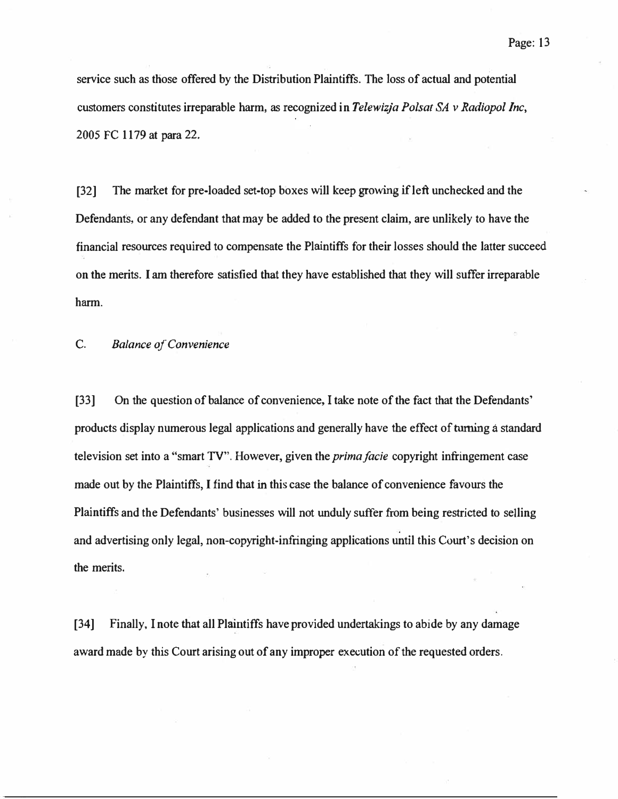service such as those offered by the Distribution Plaintiffs. The loss of actual and potential customers constitutes irreparable harm, as recognized in Telewizja Polsat SA v Radiopol Inc, 2005 FC 1179 at para 22.

[32] The market for pre-loaded set-top boxes will keep growing if left unchecked and the Defendants, or any defendant that may be added to the present claim, are unlikely to have the financial resources required to compensate the Plaintiffs for their losses should the latter succeed on the merits. I am therefore satisfied that they have established that they will suffer irreparable harm.

C. Balance of Convenience

[33] On the question of balance of convenience, I take note of the fact that the Defendants' products display numerous legal applications and generally have the effect of turning a standard television set into a "smart TV". However, given the *prima facie* copyright infringement case made out by the Plaintiffs, I find that in this case the balance of convenience favours the Plaintiffs and the Defendants' businesses will not unduly suffer from being restricted to selling and advertising only legal, non-copyright-infringing applications until this Court's decision on the merits.

[34] Finally, I note that all Plaintiffs have provided undertakings to abide by any damage award made by this Court arising out of any improper execution of the requested orders.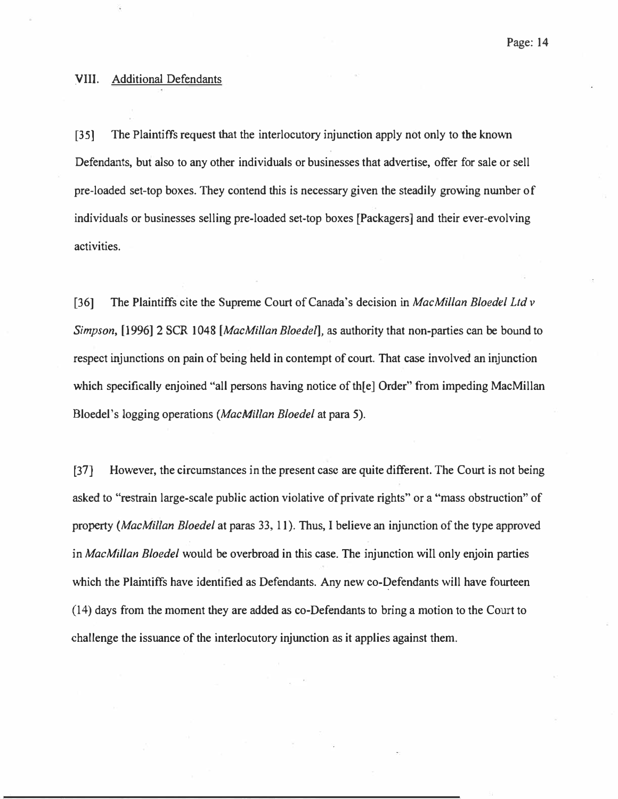#### VIII. Additional Defendants

[35] The Plaintiffs request that the interlocutory injunction apply not only to the known Defendants, but also to any other individuals or businesses that advertise, offer for sale or sell pre-loaded set-top boxes. They contend this is necessary given the steadily growing nwnber of individuals or businesses selling pre-loaded set-top boxes [Packagers] and their ever-evolving activities.

[36] The Plaintiffs cite the Supreme Court of Canada's decision in MacMillan Bloedel Ltd v Simpson, [1996] 2 SCR 1048 [MacMillan Bloedel], as authority that non-parties can be bound to . . respect injunctions on pain of being held in contempt of court. That case involved an injunction which specifically enjoined "all persons having notice of the Order" from impeding MacMillan Bloedel's logging operations (MacMillan Bloedel at para 5).

[37] However, the circumstances in the present case are quite different. The Court is not being asked to "restrain large-scale public action violative of private rights" or a "mass obstruction" of property (MacMillan Bloedel at paras 33, 11). Thus, I believe an injunction of the type approved in *MacMillan Bloedel* would be overbroad in this case. The injunction will only enjoin parties which the Plaintiffs have identified as Defendants. Any new co-Defendants will have fourteen (14) days from the moment they are added as co-Defendants to bring a motion to the Court to challenge the issuance of the interlocutory injunction as it applies against them.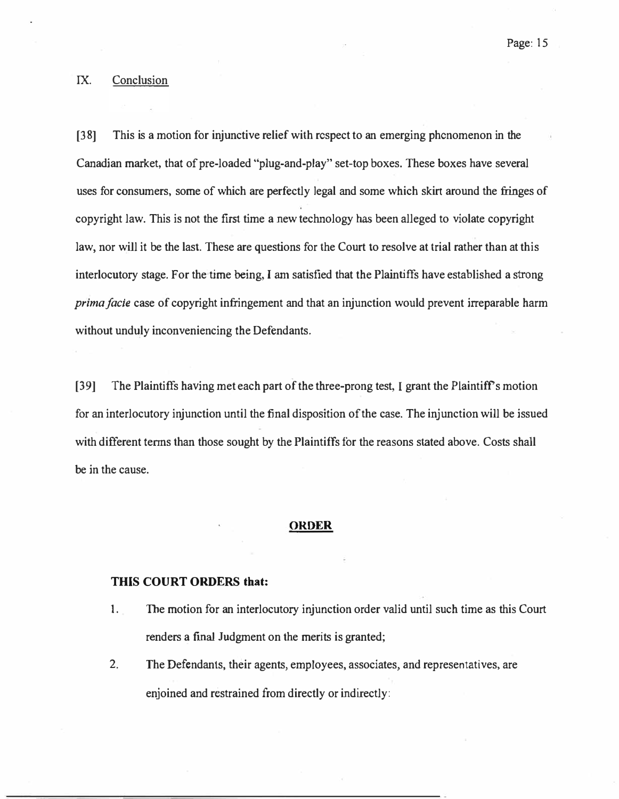## IX. Conclusion

[3 8] This is a motion for injunctive relief with respect to an emerging phenomenon in the Canadian market, that of pre-loaded "plug-and-play" set-top boxes. These boxes have several uses for consumers, some of which are perfectly legal and some which skirt around the fringes of copyright law. This is not the first time a new technology has been alleged to violate copyright law, nor will it be the last. These are questions for the Court to resolve at trial rather than at this interlocutory stage. For the time being, I am satisfied that the Plaintiffs have established a strong prima facie case of copyright infringement and that an injunction would prevent irreparable harm without unduly inconveniencing the Defendants.

[39] The Plaintiffs having met each part of the three-prong test, I grant the Plaintiff's motion for an interlocutory injunction until the final disposition of the case. The injunction will be issued with different terms than those sought by the Plaintiffs for the reasons stated above. Costs shall be in the cause.

#### **ORDER**

## THIS COURT ORDERS that:

- 1. The motion for an interlocutory injunction order valid until such time as this Court renders a final Judgment on the merits is granted;
- 2. The Defendants, their agents, employees, associates, and representatives, are enjoined and restrained from directly or indirectly: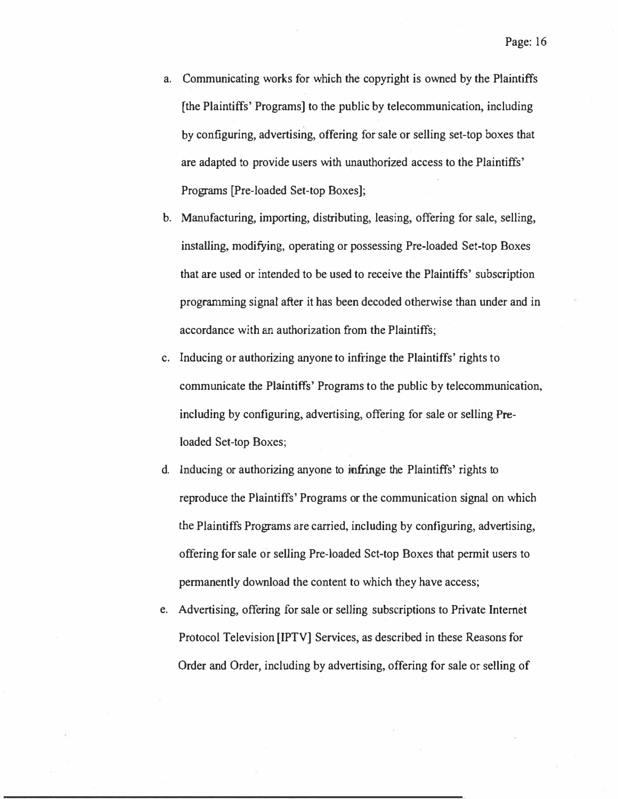- a. Communicating works for which the copyright is owned by the Plaintiffs [the Plaintiffs' Programs] to the public by telecommunication, including by configuring, advertising, offering for sale or selling set-top boxes that are adapted to provide users with unauthorized access to the Plaintiffs' Programs [Pre-loaded Set-top Boxes];
- b. Manufacturing, importing, distributing, leasing, offering for sale, selling, installing, modifying, operating or possessing Pre-loaded Set-top Boxes that are used or intended to be used to receive the Plaintiffs' subscription programming signal after it has been decoded otherwise than under and in accordance with an authorization from the Plaintiffs;
- c. Inducing or authorizing anyone to infringe the Plaintiffs' rights to communicate the Plaintiffs' Programs to the public by telecommunication, including by configuring, advertising, offering for sale or selling Preloaded Set-top Boxes;
- d. Inducing or authorizing anyone to infringe the Plaintiffs' rights to reproduce the Plaintiffs' Programs or the communication signal on which the Plaintiffs Programs are carried, including by configuring, advertising, offering for sale or selling Pre-loaded Set-top Boxes that permit users to permanently download the content to which they have access;
- e. Advertising, offering for sale or selling subscriptions to.Private Internet Protocol Television [IPTV] Services, as described in these Reasons for Order and Order, including by advertising, offering for sale or selling of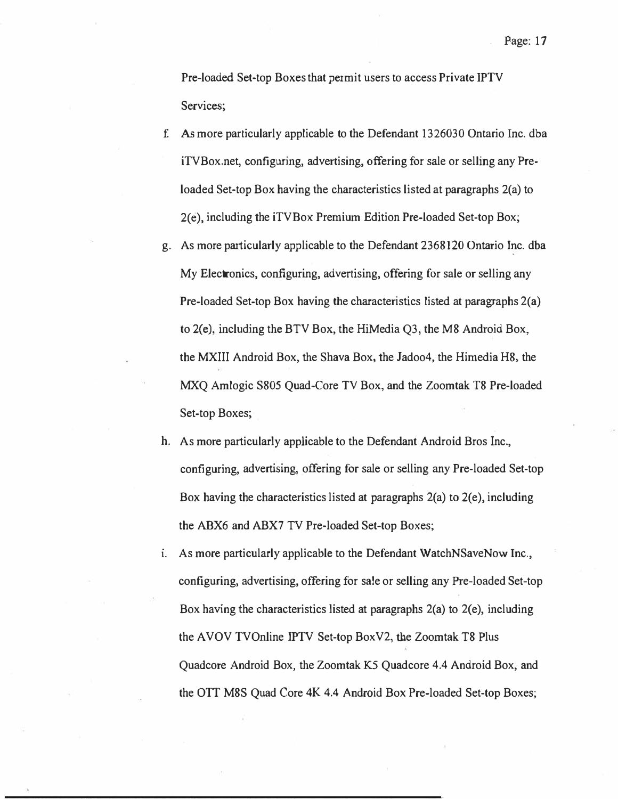Pre-loaded Set-top Boxes that permit users to access Private IPTV Services;

- f. As more particularly applicable to the Defendant 1326030 Ontario Inc. dba iTVBox.net, configuring, advertising, offering for sale or selling any Preloaded Set-top Box having the characteristics listed at paragraphs 2(a) to 2(e), including the iTVBox Premium Edition Pre-loaded Set-top Box;
- g. As more particularly applicable to the Defendant 2368120 Ontario Inc. dba My Electronics, configuring, advertising, offering for sale or selling any Pre-loaded Set-top Box having the characteristics listed at paragraphs 2(a) to 2(e), including the BTV Box, the HiMedia Q3, the M8 Android Box, the MXIII Android Box, the Shava Box, the Jadoo4, the Himedia H8, the MXQ Amlogic S805 Quad-Core TV Box, and the Zoomtak T8 Pre-loaded Set-top Boxes;
- h. As more particularly applicable to the Defendant Android Bros Inc., configuring, advertising, offering for sale or selling any Pre-loaded Set-top Box having the characteristics listed at paragraphs 2(a) to 2(e), including the ABX6 and ABX7 TV Pre-loaded Set-top Boxes;
- i. As more particularly applicable to the Defendant WatchNSaveNow Inc., configuring, advertising, offering for sale or selling any Pre-loaded Set-top Box having the characteristics listed at paragraphs 2(a) to 2(e), including the AVOV TVOnline IPTV Set-top BoxV2, the Zoomtak T8 Plus Quadcore Android Box, the Zoomtak K5 Quadcore 4.4 Android Box, and the OTT M8S Quad Core 4K 4.4 Android Box Pre-loaded Set-top Boxes;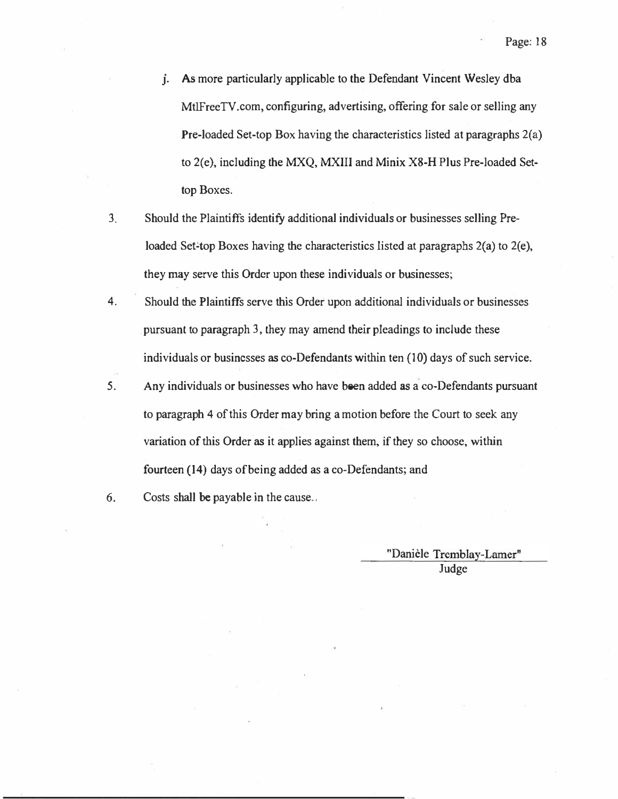- J. As more particularly applicable to the Defendant Vincent Wesley dba MtlFreeTV.com, configuring, advertising, offering for sale or selling any Pre-loaded Set-top Box having the characteristics listed at paragraphs 2(a) to 2(e), including the MXQ, MXIII and Minix X8-H Plus Pre-loaded Settop Boxes.
- 3. Should the Plaintiffs identify additional individuals or businesses selling Preloaded Set-top Boxes having the characteristics listed at paragraphs  $2(a)$  to  $2(e)$ , they may serve this Order upon these individuals or businesses;
- 4. Should the Plaintiffs serve this Order upon additional individuals or businesses pursuant to paragraph 3, they may amend their pleadings to include these individuals or businesses as co-Defendants within ten (10) days of such service.
- 5. Any individuals or businesses who have been added as a co-Defendants pursuant to paragraph 4 of this Order may bring a motion before the Court to seek any variation of this Order as it applies against them, if they so choose, within fourteen (14) days of being added as a co-Defendants; and
- 6. Costs shall be payable in the cause ..

"Daniele Tremblay-Lamer" Judge